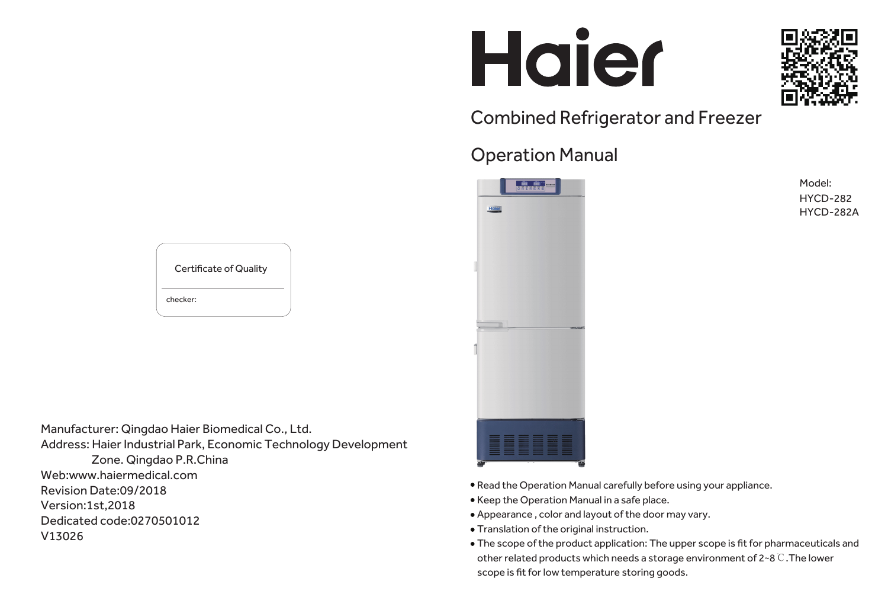# Haier

Combined Refrigerator and Freezer

# Operation Manual



Model: HYCD-282 HYCD-282A

Manufacturer: Qingdao Haier Biomedical Co., Ltd. Address: Haier Industrial Park, Economic Technology Development Zone. Qingdao P.R.China Web:www.haiermedical.com Revision Date:09/2018 Version:1st,2018 Dedicated code:0270501012 V13026



checker: Certificate of Quality

- Read the Operation Manual carefully before using your appliance.
- Keep the Operation Manual in a safe place.
- Appearance , color and layout of the door may vary.
- Translation of the original instruction.
- The scope of the product application: The upper scope is fit for pharmaceuticals and other related products which needs a storage environment of 2~8℃.The lower scope is fit for low temperature storing goods.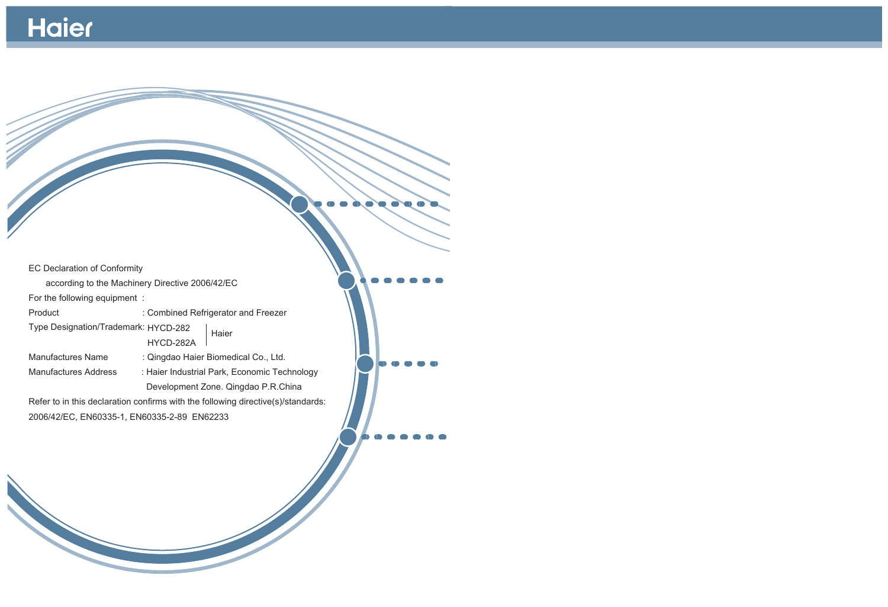# Haier

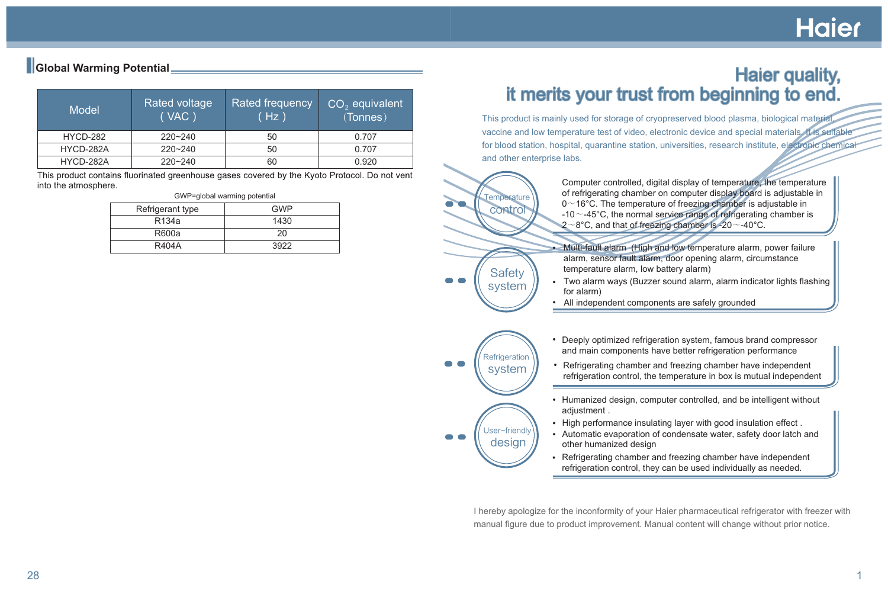Multi-fault alarm (High and low temperature alarm, power failure alarm, sensor fault alarm, door opening alarm, circumstance

• High performance insulating layer with good insulation effect. Automatic evaporation of condensate water, safety door latch and

Two alarm ways (Buzzer sound alarm, alarm indicator lights flashing

Deeply optimized refrigeration system, famous brand compressor and main components have better refrigeration performance

• Refrigerating chamber and freezing chamber have independent refrigeration control, the temperature in box is mutual independent

• Humanized design, computer controlled, and be intelligent without

- adjustment .
- 
- other humanized design
- 

This product contains fluorinated greenhouse gases covered by the Kyoto Protocol. Do not vent into the atmosphere.

> I hereby apologize for the inconformity of your Haier pharmaceutical refrigerator with freezer with manual figure due to product improvement. Manual content will change without prior notice.

# **Hajer**

Computer controlled, digital display of temperature, the temperature of refrigerating chamber on computer display board is adjustable in  $0~$  16°C. The temperature of freezing chamber is adjustable in  $-10$   $\sim$  -45°C, the normal service range of refrigerating chamber is  $2 \sim 8^{\circ}$ C, and that of freezing chamber is -20 $\sim$ -40 $^{\circ}$ C.



This product is mainly used for storage of cryopreserved blood plasma, biological material, vaccine and low temperature test of video, electronic device and special materials. It is suitable for blood station, hospital, quarantine station, universities, research institute, electronic chemical and other enterprise labs.

> Refrigerating chamber and freezing chamber have independent refrigeration control, they can be used individually as needed.

User-friendly design

| <b>Model</b> | Rated voltage<br>(VAC) | <b>Rated frequency</b><br>(Hz ) | $CO2$ equivalent<br>(Tonnes) |
|--------------|------------------------|---------------------------------|------------------------------|
| HYCD-282     | 220~240                | 50                              | 0.707                        |
| HYCD-282A    | $220 - 240$            | 50                              | 0.707                        |
| HYCD-282A    | 220~240                | 60                              | 0.920                        |

#### GWP=global warming potential

| Refrigerant type | GWP  |
|------------------|------|
| R134a            | 1430 |
| R600a            | 20   |
| <b>R404A</b>     | 3922 |

# **Haier quality,** it merits your trust from beginning to end.

## **Global Warming Potential**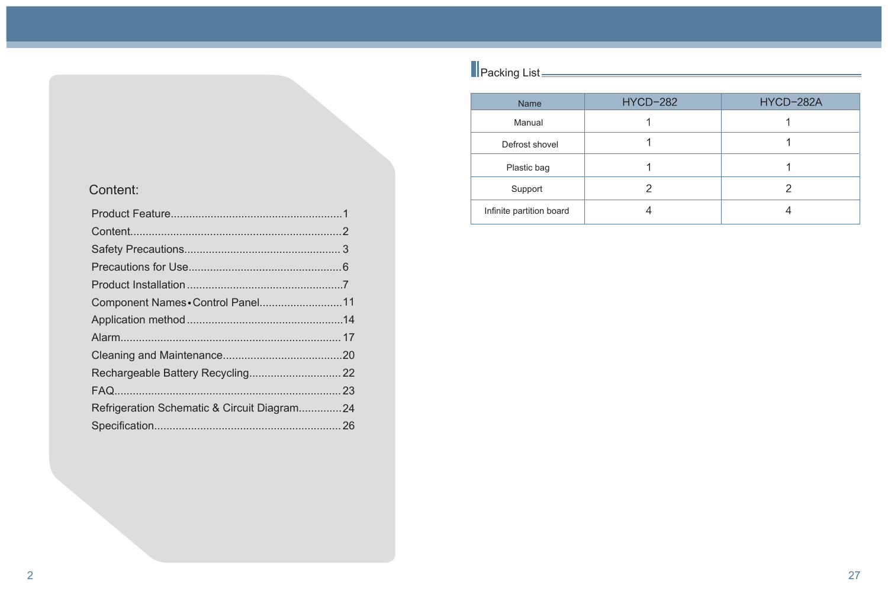| <b>Name</b>              | <b>HYCD-282</b> | HYCD-282A |
|--------------------------|-----------------|-----------|
| Manual                   |                 |           |
| Defrost shovel           |                 |           |
| Plastic bag              |                 |           |
| Support                  |                 |           |
| Infinite partition board |                 |           |

Packing List

| Component Names . Control Panel11           |  |
|---------------------------------------------|--|
|                                             |  |
|                                             |  |
|                                             |  |
|                                             |  |
|                                             |  |
| Refrigeration Schematic & Circuit Diagram24 |  |
|                                             |  |
|                                             |  |

# Content: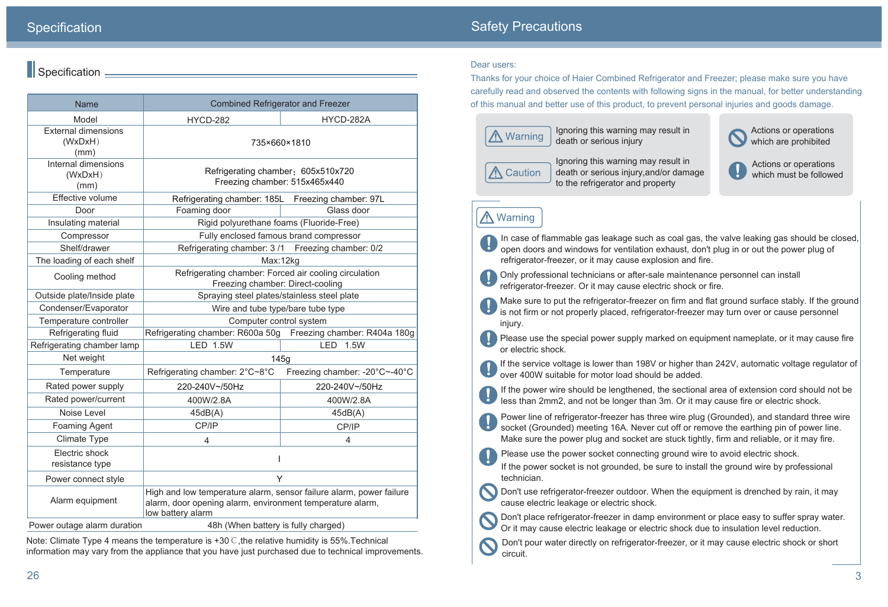less than 2mm2, and not be longer than 3m. Or it may cause fire or electric shock.

Please use the power socket connecting ground wire to avoid electric shock.

- 
- Make sure to put the refrigerator-freezer on firm and flat ground surface stably. If the ground is not firm or not properly placed, refrigerator-freezer may turn over or cause personnel
- Please use the special power supply marked on equipment nameplate, or it may cause fire
- If the service voltage is lower than 198V or higher than 242V, automatic voltage regulator of
- If the power wire should be lengthened, the sectional area of extension cord should not be
- Power line of refrigerator-freezer has three wire plug (Grounded), and standard three wire socket (Grounded) meeting 16A. Never cut off or remove the earthing pin of power line. Make sure the power plug and socket are stuck tightly, firm and reliable, or it may fire.
	-
- If the power socket is not grounded, be sure to install the ground wire by professional
- Don't place refrigerator-freezer in damp environment or place easy to suffer spray water.
- Don't pour water directly on refrigerator-freezer, or it may cause electric shock or short

technician.

Don't use refrigerator-freezer outdoor. When the equipment is drenched by rain, it may cause electric leakage or electric shock.

Or it may cause electric leakage or electric shock due to insulation level reduction.

circuit.

In case of flammable gas leakage such as coal gas, the valve leaking gas should be closed, open doors and windows for ventilation exhaust, don't plug in or out the power plug of refrigerator-freezer, or it may cause explosion and fire.

Only professional technicians or after-sale maintenance personnel can install refrigerator-freezer. Or it may cause electric shock or fire.

injury.

or electric shock.





| <b>Name</b>                                                        | <b>Combined Refrigerator and Freezer</b>                                                                                                              |                               |  |
|--------------------------------------------------------------------|-------------------------------------------------------------------------------------------------------------------------------------------------------|-------------------------------|--|
| Model                                                              | <b>HYCD-282</b>                                                                                                                                       | HYCD-282A                     |  |
| <b>External dimensions</b><br>(WxDxH)<br>(mm)                      | 735×660×1810                                                                                                                                          |                               |  |
| Internal dimensions<br>(WxDxH)<br>(mm)                             | Refrigerating chamber: 605x510x720<br>Freezing chamber: 515x465x440                                                                                   |                               |  |
| Effective volume                                                   | Refrigerating chamber: 185L Freezing chamber: 97L                                                                                                     |                               |  |
| Door                                                               | Foaming door                                                                                                                                          | Glass door                    |  |
| Insulating material                                                | Rigid polyurethane foams (Fluoride-Free)                                                                                                              |                               |  |
| Compressor                                                         | Fully enclosed famous brand compressor                                                                                                                |                               |  |
| Shelf/drawer                                                       | Refrigerating chamber: 3/1 Freezing chamber: 0/2                                                                                                      |                               |  |
| The loading of each shelf                                          | Max:12kg                                                                                                                                              |                               |  |
| Cooling method                                                     | Refrigerating chamber: Forced air cooling circulation<br>Freezing chamber: Direct-cooling                                                             |                               |  |
| Outside plate/Inside plate                                         | Spraying steel plates/stainless steel plate                                                                                                           |                               |  |
| Condenser/Evaporator                                               | Wire and tube type/bare tube type                                                                                                                     |                               |  |
| Temperature controller                                             | Computer control system                                                                                                                               |                               |  |
| Refrigerating fluid                                                | Refrigerating chamber: R600a 50g Freezing chamber: R404a 180g                                                                                         |                               |  |
| Refrigerating chamber lamp                                         | <b>LED 1.5W</b><br><b>LED</b><br>1.5W                                                                                                                 |                               |  |
| Net weight                                                         | 145g                                                                                                                                                  |                               |  |
| Temperature                                                        | Refrigerating chamber: 2°C~8°C                                                                                                                        | Freezing chamber: -20°C~-40°C |  |
| Rated power supply                                                 | 220-240V~/50Hz                                                                                                                                        | 220-240V~/50Hz                |  |
| Rated power/current                                                | 400W/2.8A                                                                                                                                             | 400W/2.8A                     |  |
| Noise Level                                                        | 45dB(A)                                                                                                                                               | 45dB(A)                       |  |
| <b>Foaming Agent</b>                                               | CP/IP                                                                                                                                                 | CP/IP                         |  |
| <b>Climate Type</b>                                                | 4                                                                                                                                                     | 4                             |  |
| Electric shock<br>resistance type                                  |                                                                                                                                                       |                               |  |
| Power connect style                                                | Y                                                                                                                                                     |                               |  |
| Alarm equipment                                                    | High and low temperature alarm, sensor failure alarm, power failure<br>alarm, door opening alarm, environment temperature alarm,<br>low battery alarm |                               |  |
| 48h (When battery is fully charged)<br>Power outage alarm duration |                                                                                                                                                       |                               |  |

## **Specification**

# Safety Precautions

#### $\blacksquare$  Specification  $\blacksquare$

#### Dear users:

Thanks for your choice of Haier Combined Refrigerator and Freezer; please make sure you have carefully read and observed the contents with following signs in the manual, for better understanding of this manual and better use of this product, to prevent personal injuries and goods damage.



Ignoring this warning may result in death or serious injury

# A Caution

Ignoring this warning may result in death or serious injury,and/or damage to the refrigerator and property

# **A** Warning

Actions or operations which are prohibited



Note: Climate Type 4 means the temperature is +30℃,the relative humidity is 55%.Technical information may vary from the appliance that you have just purchased due to technical improvements.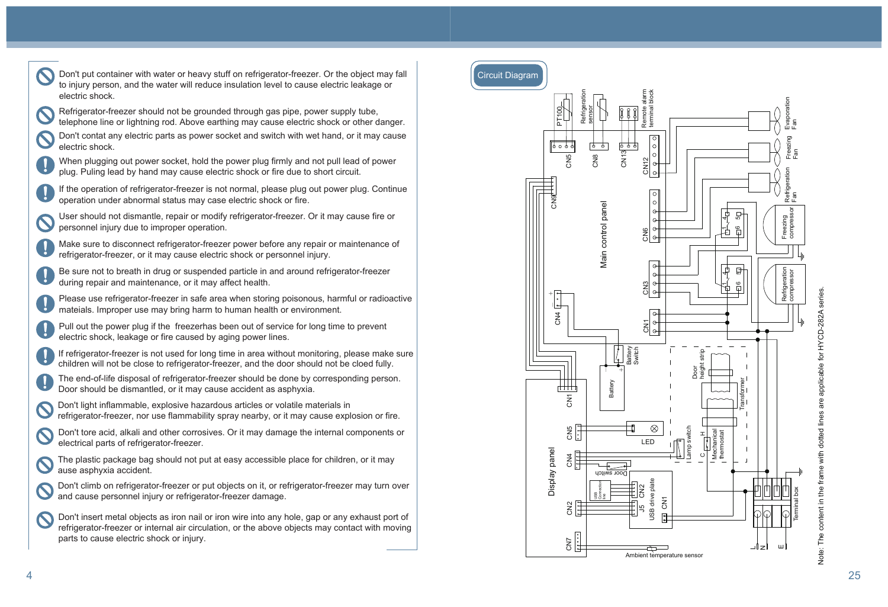



CN1 CN3 CN6

Remote alarm terminal block

alarm<br>block



J5 CN2

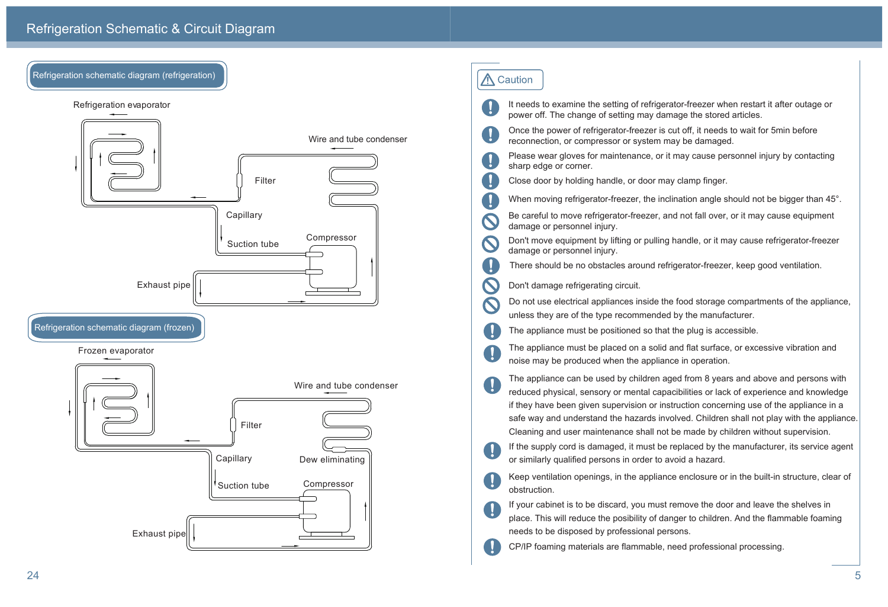It needs to examine the setting of refrigerator-freezer when restart it after outage or power off. The change of setting may damage the stored articles.

Once the power of refrigerator-freezer is cut off, it needs to wait for 5min before reconnection, or compressor or system may be damaged.

Please wear gloves for maintenance, or it may cause personnel injury by contacting sharp edge or corner.

Close door by holding handle, or door may clamp finger.

When moving refrigerator-freezer, the inclination angle should not be bigger than 45°.

Be careful to move refrigerator-freezer, and not fall over, or it may cause equipment damage or personnel injury.

Don't move equipment by lifting or pulling handle, or it may cause refrigerator-freezer damage or personnel injury.

There should be no obstacles around refrigerator-freezer, keep good ventilation.

Don't damage refrigerating circuit.



# A Caution

 $\mathbf{I}$ 

 $\mathbf{U}$ 

 $\mathbf{I}$ 

 $\mathbf{I}$ 

 $\mathbf{\Omega}$ 

 $\mathbf{U}$ 

ш

U.

Refrigeration schematic diagram (refrigeration)

Do not use electrical appliances inside the food storage compartments of the appliance, unless they are of the type recommended by the manufacturer.

The appliance must be positioned so that the plug is accessible.

The appliance must be placed on a solid and flat surface, or excessive vibration and noise may be produced when the appliance in operation.

The appliance can be used by children aged from 8 years and above and persons with reduced physical, sensory or mental capacibilities or lack of experience and knowledge if they have been given supervision or instruction concerning use of the appliance in a safe way and understand the hazards involved. Children shall not play with the appliance. Cleaning and user maintenance shall not be made by children without supervision.

If the supply cord is damaged, it must be replaced by the manufacturer, its service agent or similarly qualified persons in order to avoid a hazard.

Keep ventilation openings, in the appliance enclosure or in the built-in structure, clear of obstruction.

If your cabinet is to be discard, you must remove the door and leave the shelves in place. This will reduce the posibility of danger to children. And the flammable foaming needs to be disposed by professional persons. CP/IP foaming materials are flammable, need professional processing.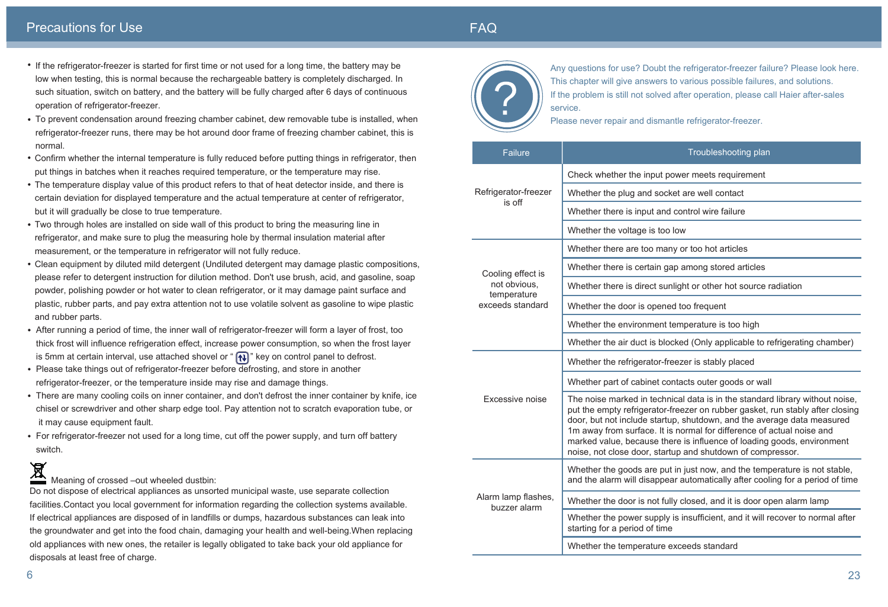|  | <b>Failure</b>                                                       |                                                                                                                                                                |
|--|----------------------------------------------------------------------|----------------------------------------------------------------------------------------------------------------------------------------------------------------|
|  |                                                                      | Check whether the inpu                                                                                                                                         |
|  | Refrigerator-freezer                                                 | Whether the plug and s                                                                                                                                         |
|  | is off                                                               | Whether there is input a                                                                                                                                       |
|  |                                                                      | Whether the voltage is                                                                                                                                         |
|  |                                                                      | Whether there are too r                                                                                                                                        |
|  | Cooling effect is<br>not obvious,<br>temperature<br>exceeds standard | Whether there is certair                                                                                                                                       |
|  |                                                                      | Whether there is direct                                                                                                                                        |
|  |                                                                      | Whether the door is ope                                                                                                                                        |
|  |                                                                      | Whether the environme                                                                                                                                          |
|  |                                                                      | Whether the air duct is                                                                                                                                        |
|  |                                                                      | Whether the refrigerato                                                                                                                                        |
|  |                                                                      | Whether part of cabinet                                                                                                                                        |
|  | <b>Excessive noise</b>                                               | The noise marked in tee<br>put the empty refrigerat<br>door, but not include sta<br>1m away from surface.<br>marked value, because<br>noise, not close door, s |
|  |                                                                      | Whether the goods are<br>and the alarm will disap                                                                                                              |
|  | Alarm lamp flashes,<br>buzzer alarm                                  | Whether the door is not                                                                                                                                        |
|  |                                                                      | Whether the power sup<br>starting for a period of t                                                                                                            |
|  |                                                                      | Whether the temperature                                                                                                                                        |

- If the refrigerator-freezer is started for first time or not used for a long time, the battery may be low when testing, this is normal because the rechargeable battery is completely discharged. In such situation, switch on battery, and the battery will be fully charged after 6 days of continuous operation of refrigerator-freezer.
- To prevent condensation around freezing chamber cabinet, dew removable tube is installed, when refrigerator-freezer runs, there may be hot around door frame of freezing chamber cabinet, this is normal.
- Confirm whether the internal temperature is fully reduced before putting things in refrigerator, then put things in batches when it reaches required temperature, or the temperature may rise.
- The temperature display value of this product refers to that of heat detector inside, and there is certain deviation for displayed temperature and the actual temperature at center of refrigerator, but it will gradually be close to true temperature.
- Two through holes are installed on side wall of this product to bring the measuring line in refrigerator, and make sure to plug the measuring hole by thermal insulation material after measurement, or the temperature in refrigerator will not fully reduce.
- Clean equipment by diluted mild detergent (Undiluted detergent may damage plastic compositions, please refer to detergent instruction for dilution method. Don't use brush, acid, and gasoline, soap powder, polishing powder or hot water to clean refrigerator, or it may damage paint surface and plastic, rubber parts, and pay extra attention not to use volatile solvent as gasoline to wipe plastic and rubber parts.
- After running a period of time, the inner wall of refrigerator-freezer will form a layer of frost, too thick frost will influence refrigeration effect, increase power consumption, so when the frost layer is 5mm at certain interval, use attached shovel or " $\left\{\mathbf{R}\right\}$ " key on control panel to defrost.
- Please take things out of refrigerator-freezer before defrosting, and store in another refrigerator-freezer, or the temperature inside may rise and damage things.
- There are many cooling coils on inner container, and don't defrost the inner container by knife, ice chisel or screwdriver and other sharp edge tool. Pay attention not to scratch evaporation tube, or it may cause equipment fault.
- For refrigerator-freezer not used for a long time, cut off the power supply, and turn off battery switch.

 $\blacksquare$ Meaning of crossed –out wheeled dustbin:

Any questions for use? Doubt the refrigerator-freezer failure? Please look here. This chapter will give answers to various possible failures, and solutions. If the problem is still not solved after operation, please call Haier after-sales service.

Please never repair and dismantle refrigerator-freezer.

# FAQ

#### Troubleshooting plan

It power meets requirement

socket are well contact

and control wire failure

too low

many or too hot articles

n gap among stored articles

sunlight or other hot source radiation

ened too frequent

ent temperature is too high

blocked (Only applicable to refrigerating chamber)

or-freezer is stably placed

contacts outer goods or wall

echnical data is in the standard library without noise, tor-freezer on rubber gasket, run stably after closing tartup, shutdown, and the average data measured It is normal for difference of actual noise and there is influence of loading goods, environment tartup and shutdown of compressor.

put in just now, and the temperature is not stable, pear automatically after cooling for a period of time

fully closed, and it is door open alarm lamp

pply is insufficient, and it will recover to normal after ime :

ure exceeds standard

## Precautions for Use

Do not dispose of electrical appliances as unsorted municipal waste, use separate collection facilities.Contact you local government for information regarding the collection systems available. If electrical appliances are disposed of in landfills or dumps, hazardous substances can leak into the groundwater and get into the food chain, damaging your health and well-being.When replacing old appliances with new ones, the retailer is legally obligated to take back your old appliance for disposals at least free of charge.

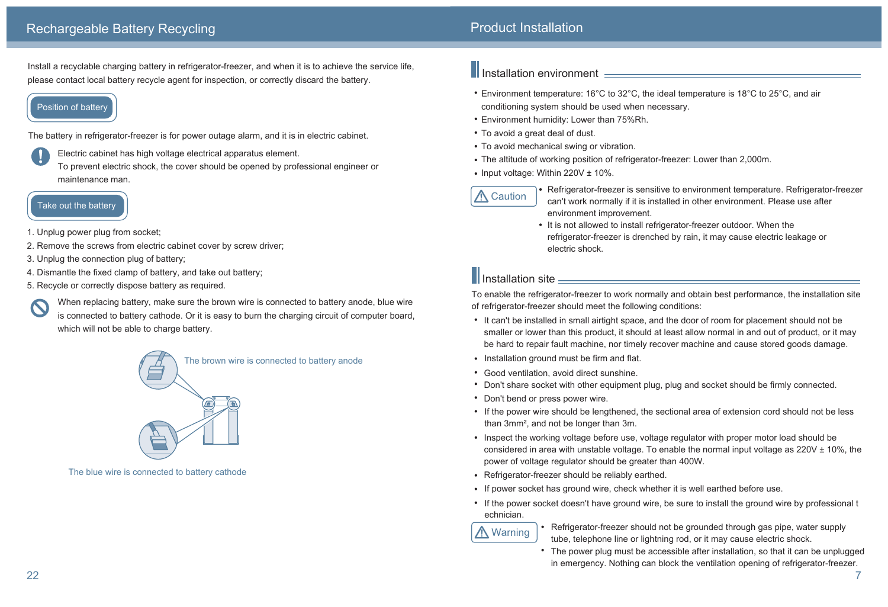Refrigerator-freezer is sensitive to environment temperature. Refrigerator-freezer can't work normally if it is installed in other environment. Please use after

• It is not allowed to install refrigerator-freezer outdoor. When the refrigerator-freezer is drenched by rain, it may cause electric leakage or

- environment improvement.
- electric shock.

# **Installation site** <u>Denomination and the set of the set of the set of the set of the set of the set of the set of the set of the set of the set of the set of the set of the set of the set of the set of the set of the set </u>

To enable the refrigerator-freezer to work normally and obtain best performance, the installation site of refrigerator-freezer should meet the following conditions:

smaller or lower than this product, it should at least allow normal in and out of product, or it may be hard to repair fault machine, nor timely recover machine and cause stored goods damage.

• If the power wire should be lengthened, the sectional area of extension cord should not be less

considered in area with unstable voltage. To enable the normal input voltage as  $220V \pm 10\%$ , the

• If the power socket doesn't have ground wire, be sure to install the ground wire by professional t

- It can't be installed in small airtight space, and the door of room for placement should not be
- Installation ground must be firm and flat.
- Good ventilation, avoid direct sunshine.
- Don't share socket with other equipment plug, plug and socket should be firmly connected.
- Don't bend or press power wire.
- than 3mm², and not be longer than 3m.
- Inspect the working voltage before use, voltage regulator with proper motor load should be power of voltage regulator should be greater than 400W.
- Refrigerator-freezer should be reliably earthed.
- If power socket has ground wire, check whether it is well earthed before use.
- echnician.

**A** Warning

- 
- 

• Refrigerator-freezer should not be grounded through gas pipe, water supply tube, telephone line or lightning rod, or it may cause electric shock.

- Environment temperature: 16°C to 32°C, the ideal temperature is 18°C to 25°C, and air conditioning system should be used when necessary.
- Environment humidity: Lower than 75%Rh.
- To avoid a great deal of dust.
- To avoid mechanical swing or vibration.
- The altitude of working position of refrigerator-freezer: Lower than 2,000m.
- Input voltage: Within  $220V \pm 10\%$ .



The power plug must be accessible after installation, so that it can be unplugged in emergency. Nothing can block the ventilation opening of refrigerator-freezer.

Install a recyclable charging battery in refrigerator-freezer, and when it is to achieve the service life, please contact local battery recycle agent for inspection, or correctly discard the battery.

## **Position of battery**

The battery in refrigerator-freezer is for power outage alarm, and it is in electric cabinet.

Electric cabinet has high voltage electrical apparatus element. To prevent electric shock, the cover should be opened by professional engineer or maintenance man.

- 1. Unplug power plug from socket;
- 2. Remove the screws from electric cabinet cover by screw driver;
- 3. Unplug the connection plug of battery;
- 4. Dismantle the fixed clamp of battery, and take out battery;
- 5. Recycle or correctly dispose battery as required.

When replacing battery, make sure the brown wire is connected to battery anode, blue wire is connected to battery cathode. Or it is easy to burn the charging circuit of computer board, which will not be able to charge battery.



The brown wire is connected to battery anode



The blue wire is connected to battery cathode

# Il Installation environment **Election State of Australian Control Control Control Control Control Control Control Control Control Control Control Control Control Control Control Control Control Control Control Control Cont**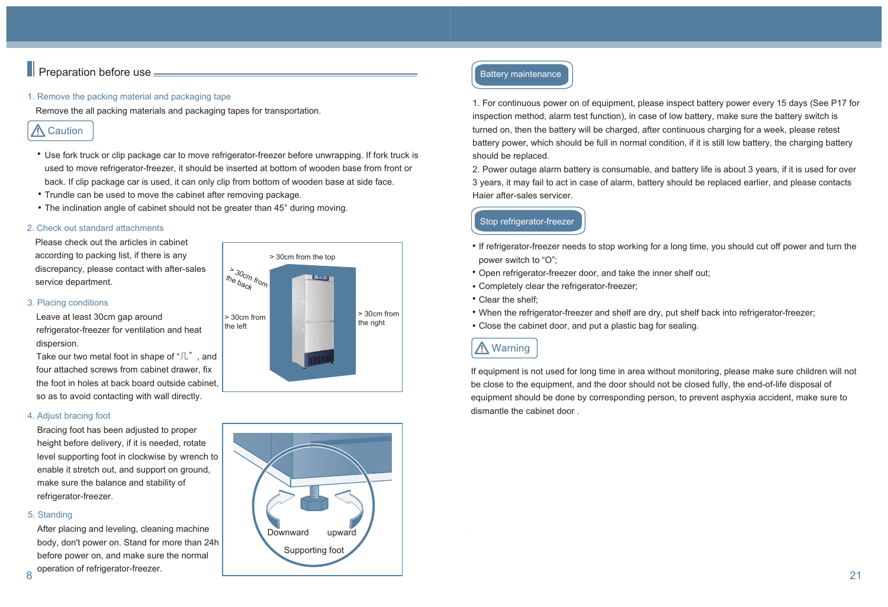# $\blacksquare$  Preparation before use  $\blacksquare$

#### 1. Remove the packing material and packaging tape

Remove the all packing materials and packaging tapes for transportation.

# ∧ Caution

#### 2. Check out standard attachments

Please check out the articles in cabinet according to packing list, if there is any discrepancy, please contact with after-sales service department.

#### 3. Placing conditions

Leave at least 30cm gap around refrigerator-freezer for ventilation and heat dispersion.

Take our two metal foot in shape of "几", and four attached screws from cabinet drawer, fix the foot in holes at back board outside cabinet, so as to avoid contacting with wall directly.

#### 4. Adjust bracing foot

Bracing foot has been adjusted to proper height before delivery, if it is needed, rotate level supporting foot in clockwise by wrench to enable it stretch out, and support on ground, make sure the balance and stability of refrigerator-freezer.

#### 5. Standing

After placing and leveling, cleaning machine body, don't power on. Stand for more than 24h before power on, and make sure the normal

- Use fork truck or clip package car to move refrigerator-freezer before unwrapping. If fork truck is used to move refrigerator-freezer, it should be inserted at bottom of wooden base from front or back. If clip package car is used, it can only clip from bottom of wooden base at side face.
- Trundle can be used to move the cabinet after removing package.
- The inclination angle of cabinet should not be greater than 45° during moving.

#### Stop refrigerator-freezer

- power switch to "O";
- Open refrigerator-freezer door, and take the inner shelf out;
- Completely clear the refrigerator-freezer;
- Clear the shelf;
- When the refrigerator-freezer and shelf are dry, put shelf back into refrigerator-freezer;
- Close the cabinet door, and put a plastic bag for sealing.

# **A** Warning

#### Battery maintenance



1. For continuous power on of equipment, please inspect battery power every 15 days (See P17 for inspection method, alarm test function), in case of low battery, make sure the battery switch is turned on, then the battery will be charged, after continuous charging for a week, please retest battery power, which should be full in normal condition, if it is still low battery, the charging battery should be replaced.

2. Power outage alarm battery is consumable, and battery life is about 3 years, if it is used for over 3 years, it may fail to act in case of alarm, battery should be replaced earlier, and please contacts Haier after-sales servicer.

If equipment is not used for long time in area without monitoring, please make sure children will not be close to the equipment, and the door should not be closed fully, the end-of-life disposal of equipment should be done by corresponding person, to prevent asphyxia accident, make sure to dismantle the cabinet door .

• If refrigerator-freezer needs to stop working for a long time, you should cut off power and turn the

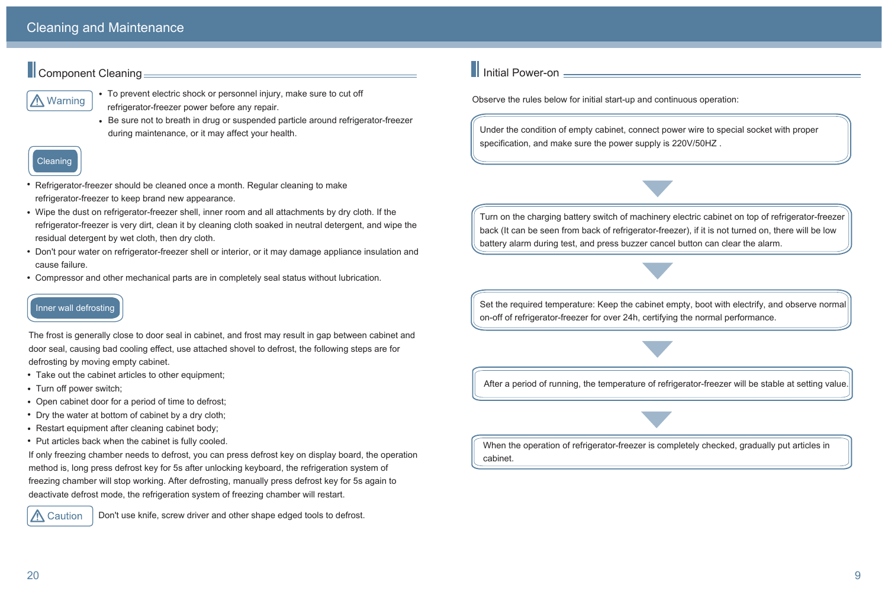Under the condition of empty cabinet, connect power wire to special socket with proper specification, and make sure the power supply is 220V/50HZ .

Turn on the charging battery switch of machinery electric cabinet on top of refrigerator-freezer back (It can be seen from back of refrigerator-freezer), if it is not turned on, there will be low battery alarm during test, and press buzzer cancel button can clear the alarm.

Set the required temperature: Keep the cabinet empty, boot with electrify, and observe normal on-off of refrigerator-freezer for over 24h, certifying the normal performance.

After a period of running, the temperature of refrigerator-freezer will be stable at setting value.

When the operation of refrigerator-freezer is completely checked, gradually put articles in cabinet.

Observe the rules below for initial start-up and continuous operation:

# Inner wall defrosting

The frost is generally close to door seal in cabinet, and frost may result in gap between cabinet and door seal, causing bad cooling effect, use attached shovel to defrost, the following steps are for defrosting by moving empty cabinet.

- Take out the cabinet articles to other equipment;
- Turn off power switch;
- Open cabinet door for a period of time to defrost;
- Dry the water at bottom of cabinet by a dry cloth;
- Restart equipment after cleaning cabinet body;
- Put articles back when the cabinet is fully cooled.

If only freezing chamber needs to defrost, you can press defrost key on display board, the operation method is, long press defrost key for 5s after unlocking keyboard, the refrigeration system of freezing chamber will stop working. After defrosting, manually press defrost key for 5s again to deactivate defrost mode, the refrigeration system of freezing chamber will restart.



- Refrigerator-freezer should be cleaned once a month. Regular cleaning to make refrigerator-freezer to keep brand new appearance.
- Wipe the dust on refrigerator-freezer shell, inner room and all attachments by dry cloth. If the refrigerator-freezer is very dirt, clean it by cleaning cloth soaked in neutral detergent, and wipe the residual detergent by wet cloth, then dry cloth.
- Don't pour water on refrigerator-freezer shell or interior, or it may damage appliance insulation and cause failure.
- Compressor and other mechanical parts are in completely seal status without lubrication.

Don't use knife, screw driver and other shape edged tools to defrost.

# $\blacksquare$  Initial Power-on  $=$

# **Component Cleaning**



- To prevent electric shock or personnel injury, make sure to cut off refrigerator-freezer power before any repair.
- Be sure not to breath in drug or suspended particle around refrigerator-freezer during maintenance, or it may affect your health.

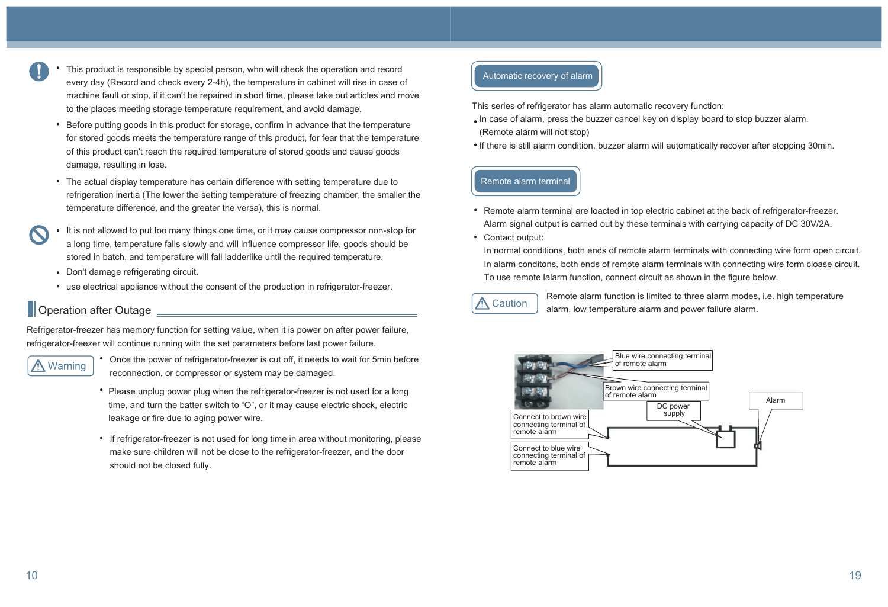- This product is responsible by special person, who will check the operation and record every day (Record and check every 2-4h), the temperature in cabinet will rise in case of machine fault or stop, if it can't be repaired in short time, please take out articles and move to the places meeting storage temperature requirement, and avoid damage.
	- Before putting goods in this product for storage, confirm in advance that the temperature for stored goods meets the temperature range of this product, for fear that the temperature of this product can't reach the required temperature of stored goods and cause goods damage, resulting in lose.
	- The actual display temperature has certain difference with setting temperature due to refrigeration inertia (The lower the setting temperature of freezing chamber, the smaller the temperature difference, and the greater the versa), this is normal.
- It is not allowed to put too many things one time, or it may cause compressor non-stop for a long time, temperature falls slowly and will influence compressor life, goods should be stored in batch, and temperature will fall ladderlike until the required temperature.
	- Don't damage refrigerating circuit.
	- use electrical appliance without the consent of the production in refrigerator-freezer.

# **Operation after Outage** <u>Denomination of</u> the Operation after Outage **Denomination**

- In case of alarm, press the buzzer cancel key on display board to stop buzzer alarm. (Remote alarm will not stop)
- If there is still alarm condition, buzzer alarm will automatically recover after stopping 30min.

- Remote alarm terminal are loacted in top electric cabinet at the back of refrigerator-freezer. Alarm signal output is carried out by these terminals with carrying capacity of DC 30V/2A.
- Contact output:

Refrigerator-freezer has memory function for setting value, when it is power on after power failure, refrigerator-freezer will continue running with the set parameters before last power failure.

# **A** Warning

- Once the power of refrigerator-freezer is cut off, it needs to wait for 5min before reconnection, or compressor or system may be damaged.
- Please unplug power plug when the refrigerator-freezer is not used for a long time, and turn the batter switch to "O", or it may cause electric shock, electric leakage or fire due to aging power wire.
- If refrigerator-freezer is not used for long time in area without monitoring, please make sure children will not be close to the refrigerator-freezer, and the door should not be closed fully.

#### Automatic recovery of alarm

This series of refrigerator has alarm automatic recovery function:

In normal conditions, both ends of remote alarm terminals with connecting wire form open circuit. In alarm conditons, both ends of remote alarm terminals with connecting wire form cloase circuit. To use remote lalarm function, connect circuit as shown in the figure below.



#### Remote alarm terminal

Remote alarm function is limited to three alarm modes, i.e. high temperature alarm, low temperature alarm and power failure alarm.

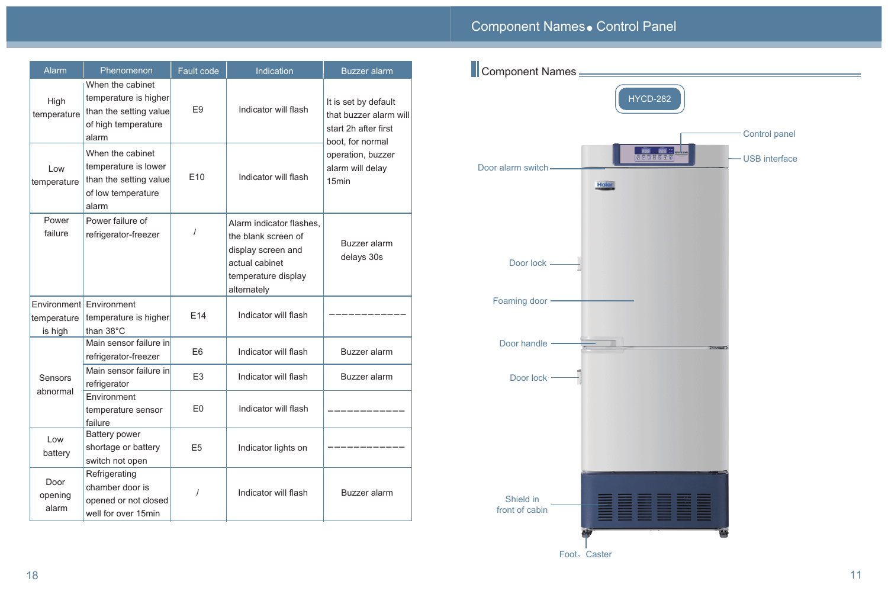

Foot、Caster



# Component Names. Control Panel

| Alarm                    | Phenomenon                                                                                          | Fault code      | Indication                                                                                                                    | <b>Buzzer</b> alarm                                                                        | Component Names             |
|--------------------------|-----------------------------------------------------------------------------------------------------|-----------------|-------------------------------------------------------------------------------------------------------------------------------|--------------------------------------------------------------------------------------------|-----------------------------|
| High<br>temperature      | When the cabinet<br>temperature is higher<br>than the setting value<br>of high temperature<br>alarm | E <sub>9</sub>  | Indicator will flash                                                                                                          | It is set by default<br>that buzzer alarm will<br>start 2h after first<br>boot, for normal |                             |
| Low<br>temperature       | When the cabinet<br>temperature is lower<br>than the setting value<br>of low temperature<br>alarm   | E <sub>10</sub> | Indicator will flash                                                                                                          | operation, buzzer<br>alarm will delay<br>15 <sub>min</sub>                                 | Door alarm switch<br>Haler  |
| Power<br>failure         | Power failure of<br>refrigerator-freezer                                                            |                 | Alarm indicator flashes,<br>the blank screen of<br>display screen and<br>actual cabinet<br>temperature display<br>alternately | Buzzer alarm<br>delays 30s                                                                 | Door lock -                 |
| temperature<br>is high   | Environment Environment<br>temperature is higher<br>than 38°C                                       | E14             | Indicator will flash                                                                                                          |                                                                                            | Foaming door                |
|                          | Main sensor failure in<br>refrigerator-freezer                                                      | E <sub>6</sub>  | Indicator will flash                                                                                                          | Buzzer alarm                                                                               | Door handle                 |
| <b>Sensors</b>           | Main sensor failure in<br>refrigerator                                                              | E <sub>3</sub>  | Indicator will flash                                                                                                          | <b>Buzzer</b> alarm                                                                        | Door lock                   |
| abnormal                 | Environment<br>temperature sensor<br>failure                                                        | E <sub>0</sub>  | Indicator will flash                                                                                                          |                                                                                            |                             |
| Low<br>battery           | <b>Battery power</b><br>shortage or battery<br>switch not open                                      | E <sub>5</sub>  | Indicator lights on                                                                                                           |                                                                                            |                             |
| Door<br>opening<br>alarm | Refrigerating<br>chamber door is<br>opened or not closed<br>well for over 15min                     |                 | Indicator will flash                                                                                                          | Buzzer alarm                                                                               | Shield in<br>front of cabin |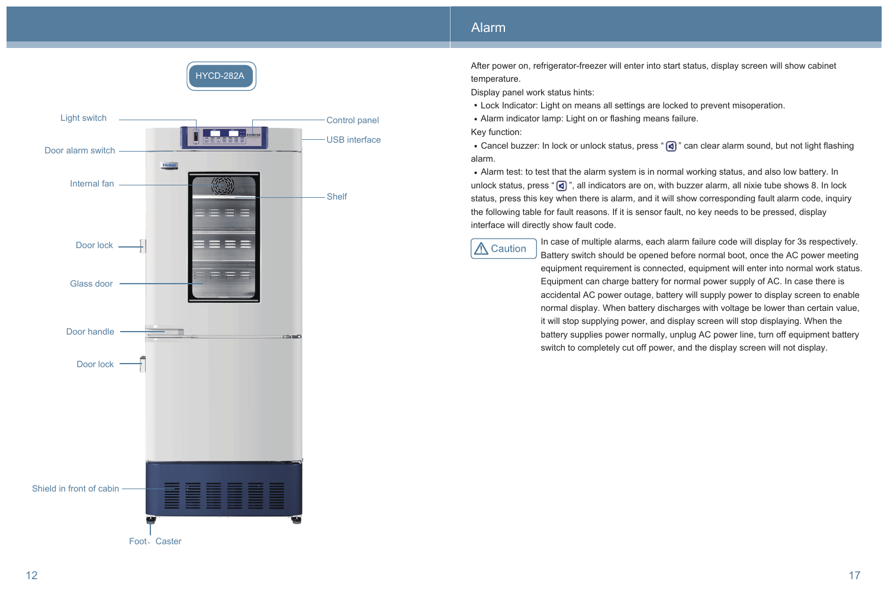

After power on, refrigerator-freezer will enter into start status, display screen will show cabinet temperature.

Display panel work status hints:

• Cancel buzzer: In lock or unlock status, press " [s]" can clear alarm sound, but not light flashing alarm.

 Lock Indicator: Light on means all settings are locked to prevent misoperation. Alarm indicator lamp: Light on or flashing means failure.

Key function:

 Alarm test: to test that the alarm system is in normal working status, and also low battery. In unlock status, press " $\lceil \mathbf{a} \rceil$ ", all indicators are on, with buzzer alarm, all nixie tube shows 8. In lock status, press this key when there is alarm, and it will show corresponding fault alarm code, inquiry the following table for fault reasons. If it is sensor fault, no key needs to be pressed, display interface will directly show fault code.



## Alarm

In case of multiple alarms, each alarm failure code will display for 3s respectively. Battery switch should be opened before normal boot, once the AC power meeting equipment requirement is connected, equipment will enter into normal work status. Equipment can charge battery for normal power supply of AC. In case there is accidental AC power outage, battery will supply power to display screen to enable normal display. When battery discharges with voltage be lower than certain value, it will stop supplying power, and display screen will stop displaying. When the battery supplies power normally, unplug AC power line, turn off equipment battery switch to completely cut off power, and the display screen will not display.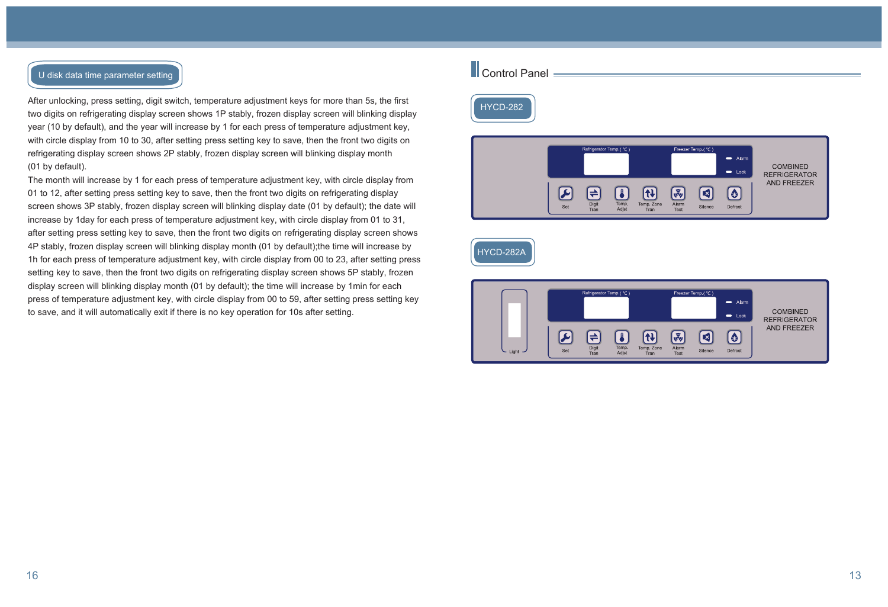#### U disk data time parameter setting

After unlocking, press setting, digit switch, temperature adjustment keys for more than 5s, the first two digits on refrigerating display screen shows 1P stably, frozen display screen will blinking display year (10 by default), and the year will increase by 1 for each press of temperature adjustment key, with circle display from 10 to 30, after setting press setting key to save, then the front two digits on refrigerating display screen shows 2P stably, frozen display screen will blinking display month (01 by default).

The month will increase by 1 for each press of temperature adjustment key, with circle display from 01 to 12, after setting press setting key to save, then the front two digits on refrigerating display screen shows 3P stably, frozen display screen will blinking display date (01 by default); the date will increase by 1day for each press of temperature adjustment key, with circle display from 01 to 31, after setting press setting key to save, then the front two digits on refrigerating display screen shows 4P stably, frozen display screen will blinking display month (01 by default);the time will increase by 1h for each press of temperature adjustment key, with circle display from 00 to 23, after setting press setting key to save, then the front two digits on refrigerating display screen shows 5P stably, frozen display screen will blinking display month (01 by default); the time will increase by 1min for each press of temperature adjustment key, with circle display from 00 to 59, after setting press setting key to save, and it will automatically exit if there is no key operation for 10s after setting.

# **Control Panel**





# HYCD-282A